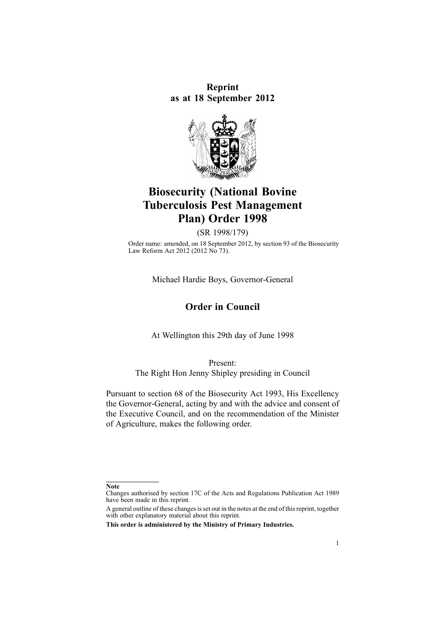**Reprint as at 18 September 2012**



# **Biosecurity (National Bovine Tuberculosis Pest Management Plan) Order 1998**

(SR 1998/179)

Order name: amended, on 18 September 2012, by [section](http://www.legislation.govt.nz/pdflink.aspx?id=DLM3388552) 93 of the Biosecurity Law Reform Act 2012 (2012 No 73).

Michael Hardie Boys, Governor-General

# **Order in Council**

At Wellington this 29th day of June 1998

Present: The Right Hon Jenny Shipley presiding in Council

Pursuant to [section](http://www.legislation.govt.nz/pdflink.aspx?id=DLM315704) 68 of the Biosecurity Act 1993, His Excellency the Governor-General, acting by and with the advice and consent of the Executive Council, and on the recommendation of the Minister of Agriculture, makes the following order.

**Note**

Changes authorised by [section](http://www.legislation.govt.nz/pdflink.aspx?id=DLM195466) 17C of the Acts and Regulations Publication Act 1989 have been made in this reprint.

A general outline of these changes is set out in the notes at the end of this reprint, together with other explanatory material about this reprint.

**This order is administered by the Ministry of Primary Industries.**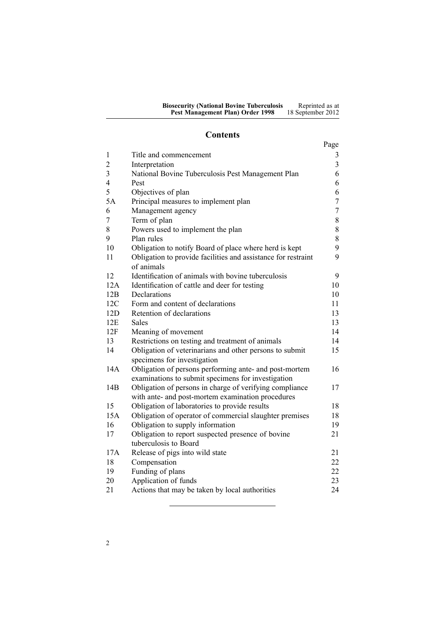### **Contents**

|                |                                                                                        | Page           |
|----------------|----------------------------------------------------------------------------------------|----------------|
| 1              | Title and commencement                                                                 | 3              |
| $\overline{2}$ | Interpretation                                                                         | 3              |
| 3              | National Bovine Tuberculosis Pest Management Plan                                      | 6              |
| $\overline{4}$ | Pest                                                                                   | 6              |
| 5              | Objectives of plan                                                                     | 6              |
| 5A             | Principal measures to implement plan                                                   | $\overline{7}$ |
| 6              | Management agency                                                                      | $\overline{7}$ |
| 7              | Term of plan                                                                           | 8              |
| 8              | Powers used to implement the plan                                                      | 8              |
| 9              | Plan rules                                                                             | 8              |
| 10             | Obligation to notify Board of place where herd is kept                                 | 9              |
| 11             | Obligation to provide facilities and assistance for restraint<br>of animals            | 9              |
| 12             | Identification of animals with bovine tuberculosis                                     | 9              |
| 12A            | Identification of cattle and deer for testing                                          | 10             |
| 12B            | Declarations                                                                           | 10             |
| 12C            | Form and content of declarations                                                       | 11             |
| 12D            | Retention of declarations                                                              | 13             |
| 12E            | <b>Sales</b>                                                                           | 13             |
| 12F            | Meaning of movement                                                                    | 14             |
| 13             | Restrictions on testing and treatment of animals                                       | 14             |
| 14             | Obligation of veterinarians and other persons to submit<br>specimens for investigation | 15             |
| 14A            | Obligation of persons performing ante- and post-mortem                                 | 16             |
|                | examinations to submit specimens for investigation                                     |                |
| 14B            | Obligation of persons in charge of verifying compliance                                | 17             |
|                | with ante- and post-mortem examination procedures                                      |                |
| 15             | Obligation of laboratories to provide results                                          | 18             |
| 15A            | Obligation of operator of commercial slaughter premises                                | 18             |
| 16             | Obligation to supply information                                                       | 19             |
| 17             | Obligation to report suspected presence of bovine                                      | 21             |
|                | tuberculosis to Board                                                                  |                |
| 17A            | Release of pigs into wild state                                                        | 21             |
| 18             | Compensation                                                                           | 22             |
| 19             | Funding of plans                                                                       | 22             |
| 20             | Application of funds                                                                   | 23             |
| 21             | Actions that may be taken by local authorities                                         | 24             |
|                |                                                                                        |                |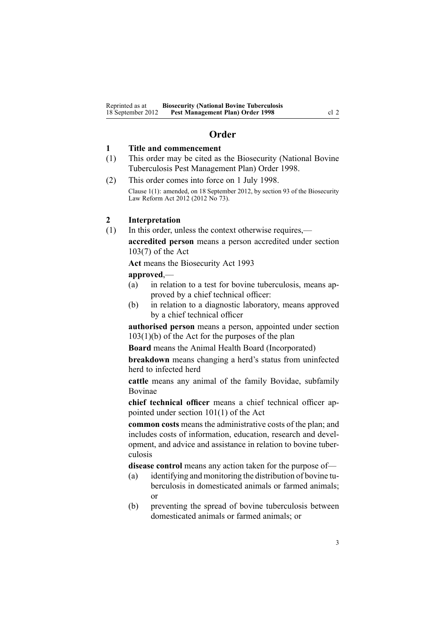### **Order**

### <span id="page-2-0"></span>**1 Title and commencement**

- (1) This order may be cited as the Biosecurity (National Bovine Tuberculosis Pest Management Plan) Order 1998.
- (2) This order comes into force on 1 July 1998. Clause 1(1): amended, on 18 September 2012, by [section](http://www.legislation.govt.nz/pdflink.aspx?id=DLM3388552) 93 of the Biosecurity Law Reform Act 2012 (2012 No 73).

### **2 Interpretation**

(1) In this order, unless the context otherwise requires, **accredited person** means <sup>a</sup> person accredited under [section](http://www.legislation.govt.nz/pdflink.aspx?id=DLM316059) [103\(7\)](http://www.legislation.govt.nz/pdflink.aspx?id=DLM316059) of the Act

**Act** means the [Biosecurity](http://www.legislation.govt.nz/pdflink.aspx?id=DLM314622) Act 1993

### **approved**,—

- (a) in relation to <sup>a</sup> test for bovine tuberculosis, means approved by <sup>a</sup> chief technical officer:
- (b) in relation to <sup>a</sup> diagnostic laboratory, means approved by <sup>a</sup> chief technical officer

**authorised person** means <sup>a</sup> person, appointed under [section](http://www.legislation.govt.nz/pdflink.aspx?id=DLM316059) [103\(1\)\(b\)](http://www.legislation.govt.nz/pdflink.aspx?id=DLM316059) of the Act for the purposes of the plan

**Board** means the Animal Health Board (Incorporated)

**breakdown** means changing <sup>a</sup> herd's status from uninfected herd to infected herd

**cattle** means any animal of the family Bovidae, subfamily Bovinae

**chief technical officer** means <sup>a</sup> chief technical officer appointed under section [101\(1\)](http://www.legislation.govt.nz/pdflink.aspx?id=DLM316050) of the Act

**common costs** means the administrative costs of the plan; and includes costs of information, education, research and development, and advice and assistance in relation to bovine tuberculosis

**disease control** means any action taken for the purpose of—

- (a) identifying and monitoring the distribution of bovine tuberculosis in domesticated animals or farmed animals; or
- (b) preventing the spread of bovine tuberculosis between domesticated animals or farmed animals; or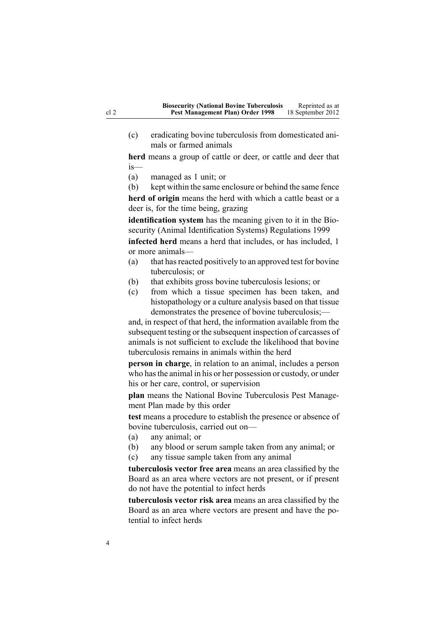(c) eradicating bovine tuberculosis from domesticated animals or farmed animals

**herd** means <sup>a</sup> group of cattle or deer, or cattle and deer that is—

(a) managed as 1 unit; or

(b) kept within the same enclosure or behind the same fence **herd of origin** means the herd with which <sup>a</sup> cattle beast or <sup>a</sup> deer is, for the time being, grazing

**identification system** has the meaning given to it in the [Bio](http://www.legislation.govt.nz/pdflink.aspx?id=DLM284288)security (Animal Identification Systems) [Regulations](http://www.legislation.govt.nz/pdflink.aspx?id=DLM284288) 1999

**infected herd** means <sup>a</sup> herd that includes, or has included, 1 or more animals—

- (a) that has reacted positively to an approved test for bovine tuberculosis; or
- (b) that exhibits gross bovine tuberculosis lesions; or
- (c) from which <sup>a</sup> tissue specimen has been taken, and histopathology or <sup>a</sup> culture analysis based on that tissue demonstrates the presence of bovine tuberculosis;—

and, in respec<sup>t</sup> of that herd, the information available from the subsequent testing or the subsequent inspection of carcasses of animals is not sufficient to exclude the likelihood that bovine tuberculosis remains in animals within the herd

**person in charge**, in relation to an animal, includes <sup>a</sup> person who hasthe animal in his or her possession or custody, or under his or her care, control, or supervision

**plan** means the National Bovine Tuberculosis Pest Management Plan made by this order

**test** means <sup>a</sup> procedure to establish the presence or absence of bovine tuberculosis, carried out on—

- (a) any animal; or
- (b) any blood or serum sample taken from any animal; or
- (c) any tissue sample taken from any animal

**tuberculosis vector free area** means an area classified by the Board as an area where vectors are not present, or if presen<sup>t</sup> do not have the potential to infect herds

**tuberculosis vector risk area** means an area classified by the Board as an area where vectors are presen<sup>t</sup> and have the potential to infect herds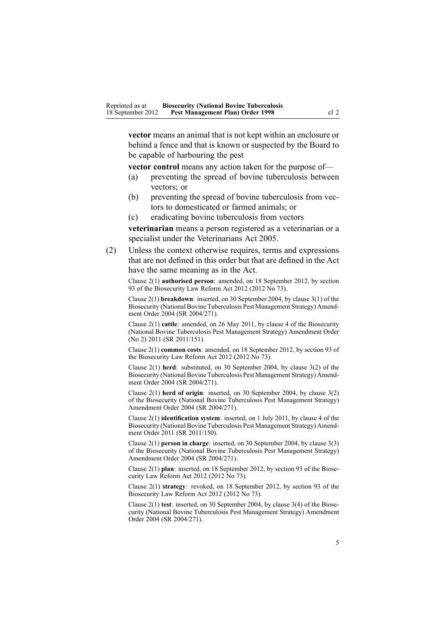**vector** means an animal that is not kept within an enclosure or behind <sup>a</sup> fence and that is known or suspected by the Board to be capable of harbouring the pes<sup>t</sup>

**vector control** means any action taken for the purpose of—

- (a) preventing the spread of bovine tuberculosis between vectors; or
- (b) preventing the spread of bovine tuberculosis from vectors to domesticated or farmed animals; or
- (c) eradicating bovine tuberculosis from vectors

**veterinarian** means <sup>a</sup> person registered as <sup>a</sup> veterinarian or <sup>a</sup> specialist under the [Veterinarians](http://www.legislation.govt.nz/pdflink.aspx?id=DLM363858) Act 2005.

(2) Unless the context otherwise requires, terms and expressions that are not defined in this order but that are defined in the Act have the same meaning as in the Act.

Clause 2(1) **authorised person**: amended, on 18 September 2012, by [section](http://www.legislation.govt.nz/pdflink.aspx?id=DLM3388552) [93](http://www.legislation.govt.nz/pdflink.aspx?id=DLM3388552) of the Biosecurity Law Reform Act 2012 (2012 No 73).

Clause 2(1) **breakdown**: inserted, on 30 September 2004, by [clause](http://www.legislation.govt.nz/pdflink.aspx?id=DLM283061) 3(1) of the Biosecurity (National Bovine Tuberculosis Pest Management Strategy) Amendment Order 2004 (SR 2004/271).

Clause 2(1) **cattle**: amended, on 26 May 2011, by [clause](http://www.legislation.govt.nz/pdflink.aspx?id=DLM3696907) 4 of the Biosecurity (National Bovine Tuberculosis Pest Management Strategy) Amendment Order (No 2) 2011 (SR 2011/151).

Clause 2(1) **common costs**: amended, on 18 September 2012, by [section](http://www.legislation.govt.nz/pdflink.aspx?id=DLM3388552) 93 of the Biosecurity Law Reform Act 2012 (2012 No 73).

Clause 2(1) **herd**: substituted, on 30 September 2004, by [clause](http://www.legislation.govt.nz/pdflink.aspx?id=DLM283061) 3(2) of the Biosecurity (National Bovine Tuberculosis Pest Management Strategy) Amendment Order 2004 (SR 2004/271).

Clause 2(1) **herd of origin**: inserted, on 30 September 2004, by [clause](http://www.legislation.govt.nz/pdflink.aspx?id=DLM283061) 3(2) of the Biosecurity (National Bovine Tuberculosis Pest Management Strategy) Amendment Order 2004 (SR 2004/271).

Clause 2(1) **identification system**: inserted, on 1 July 2011, by [clause](http://www.legislation.govt.nz/pdflink.aspx?id=DLM3765120) 4 of the Biosecurity (National Bovine Tuberculosis Pest Management Strategy) Amendment Order 2011 (SR 2011/150).

Clause 2(1) **person in charge**: inserted, on 30 September 2004, by [clause](http://www.legislation.govt.nz/pdflink.aspx?id=DLM283061) 3(3) of the Biosecurity (National Bovine Tuberculosis Pest Management Strategy) Amendment Order 2004 (SR 2004/271).

Clause 2(1) **plan**: inserted, on 18 September 2012, by [section](http://www.legislation.govt.nz/pdflink.aspx?id=DLM3388552) 93 of the Biosecurity Law Reform Act 2012 (2012 No 73).

Clause 2(1) **strategy**: revoked, on 18 September 2012, by [section](http://www.legislation.govt.nz/pdflink.aspx?id=DLM3388552) 93 of the Biosecurity Law Reform Act 2012 (2012 No 73).

Clause 2(1) **test**: inserted, on 30 September 2004, by [clause](http://www.legislation.govt.nz/pdflink.aspx?id=DLM283061) 3(4) of the Biosecurity (National Bovine Tuberculosis Pest Management Strategy) Amendment Order 2004 (SR 2004/271).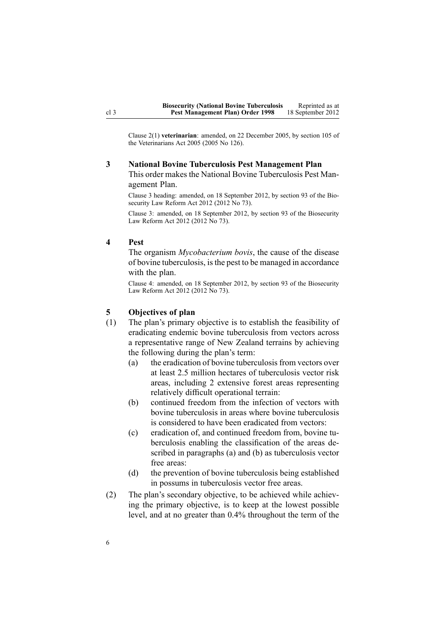<span id="page-5-0"></span>Clause 2(1) **veterinarian**: amended, on 22 December 2005, by [section](http://www.legislation.govt.nz/pdflink.aspx?id=DLM364675) 105 of the Veterinarians Act 2005 (2005 No 126).

# **3 National Bovine Tuberculosis Pest Management Plan** This order makes the National Bovine Tuberculosis Pest Man-

agemen<sup>t</sup> Plan.

Clause 3 heading: amended, on 18 September 2012, by [section](http://www.legislation.govt.nz/pdflink.aspx?id=DLM3388552) 93 of the Biosecurity Law Reform Act 2012 (2012 No 73).

Clause 3: amended, on 18 September 2012, by [section](http://www.legislation.govt.nz/pdflink.aspx?id=DLM3388552) 93 of the Biosecurity Law Reform Act 2012 (2012 No 73).

### **4 Pest**

The organism *Mycobacterium bovis*, the cause of the disease of bovine tuberculosis, isthe pes<sup>t</sup> to be managed in accordance with the plan.

Clause 4: amended, on 18 September 2012, by [section](http://www.legislation.govt.nz/pdflink.aspx?id=DLM3388552) 93 of the Biosecurity Law Reform Act 2012 (2012 No 73).

### **5 Objectives of plan**

- (1) The plan's primary objective is to establish the feasibility of eradicating endemic bovine tuberculosis from vectors across <sup>a</sup> representative range of New Zealand terrains by achieving the following during the plan's term:
	- (a) the eradication of bovine tuberculosis from vectors over at least 2.5 million hectares of tuberculosis vector risk areas, including 2 extensive forest areas representing relatively difficult operational terrain:
	- (b) continued freedom from the infection of vectors with bovine tuberculosis in areas where bovine tuberculosis is considered to have been eradicated from vectors:
	- (c) eradication of, and continued freedom from, bovine tuberculosis enabling the classification of the areas described in paragraphs (a) and (b) as tuberculosis vector free areas:
	- (d) the prevention of bovine tuberculosis being established in possums in tuberculosis vector free areas.
- (2) The plan's secondary objective, to be achieved while achieving the primary objective, is to keep at the lowest possible level, and at no greater than 0.4% throughout the term of the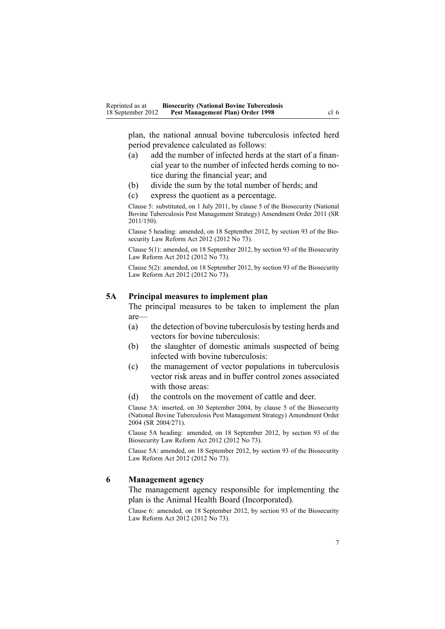<span id="page-6-0"></span>plan, the national annual bovine tuberculosis infected herd period prevalence calculated as follows:

- (a) add the number of infected herds at the start of <sup>a</sup> financial year to the number of infected herds coming to notice during the financial year; and
- (b) divide the sum by the total number of herds; and
- (c) express the quotient as <sup>a</sup> percentage.

Clause 5: substituted, on 1 July 2011, by [clause](http://www.legislation.govt.nz/pdflink.aspx?id=DLM3765124) 5 of the Biosecurity (National Bovine Tuberculosis Pest Management Strategy) Amendment Order 2011 (SR 2011/150).

Clause 5 heading: amended, on 18 September 2012, by [section](http://www.legislation.govt.nz/pdflink.aspx?id=DLM3388552) 93 of the Biosecurity Law Reform Act 2012 (2012 No 73).

Clause 5(1): amended, on 18 September 2012, by [section](http://www.legislation.govt.nz/pdflink.aspx?id=DLM3388552) 93 of the Biosecurity Law Reform Act 2012 (2012 No 73).

Clause 5(2): amended, on 18 September 2012, by [section](http://www.legislation.govt.nz/pdflink.aspx?id=DLM3388552) 93 of the Biosecurity Law Reform Act 2012 (2012 No 73).

#### **5A Principal measures to implement plan**

The principal measures to be taken to implement the plan are—

- (a) the detection of bovine tuberculosis by testing herds and vectors for bovine tuberculosis:
- (b) the slaughter of domestic animals suspected of being infected with bovine tuberculosis:
- (c) the managemen<sup>t</sup> of vector populations in tuberculosis vector risk areas and in buffer control zones associated with those areas:
- (d) the controls on the movement of cattle and deer.

Clause 5A: inserted, on 30 September 2004, by [clause](http://www.legislation.govt.nz/pdflink.aspx?id=DLM283074) 5 of the Biosecurity (National Bovine Tuberculosis Pest Management Strategy) Amendment Order 2004 (SR 2004/271).

Clause 5A heading: amended, on 18 September 2012, by [section](http://www.legislation.govt.nz/pdflink.aspx?id=DLM3388552) 93 of the Biosecurity Law Reform Act 2012 (2012 No 73).

Clause 5A: amended, on 18 September 2012, by [section](http://www.legislation.govt.nz/pdflink.aspx?id=DLM3388552) 93 of the Biosecurity Law Reform Act 2012 (2012 No 73).

#### **6 Management agency**

The managemen<sup>t</sup> agency responsible for implementing the plan is the Animal Health Board (Incorporated).

Clause 6: amended, on 18 September 2012, by [section](http://www.legislation.govt.nz/pdflink.aspx?id=DLM3388552) 93 of the Biosecurity Law Reform Act 2012 (2012 No 73).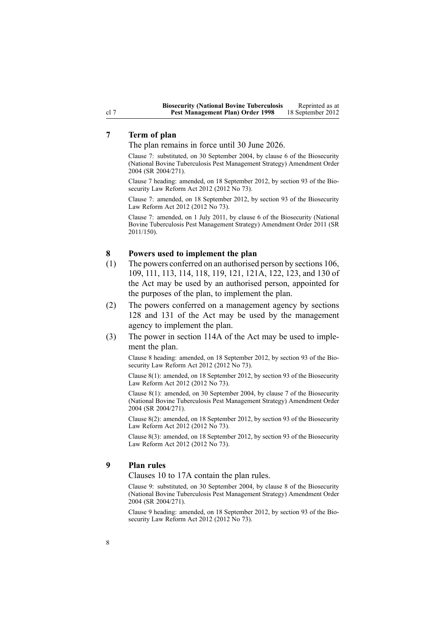# **7 Term of plan**

The plan remains in force until 30 June 2026.

Clause 7: substituted, on 30 September 2004, by [clause](http://www.legislation.govt.nz/pdflink.aspx?id=DLM283076) 6 of the Biosecurity (National Bovine Tuberculosis Pest Management Strategy) Amendment Order 2004 (SR 2004/271).

Clause 7 heading: amended, on 18 September 2012, by [section](http://www.legislation.govt.nz/pdflink.aspx?id=DLM3388552) 93 of the Biosecurity Law Reform Act 2012 (2012 No 73).

Clause 7: amended, on 18 September 2012, by [section](http://www.legislation.govt.nz/pdflink.aspx?id=DLM3388552) 93 of the Biosecurity Law Reform Act 2012 (2012 No 73).

Clause 7: amended, on 1 July 2011, by [clause](http://www.legislation.govt.nz/pdflink.aspx?id=DLM3765125) 6 of the Biosecurity (National Bovine Tuberculosis Pest Management Strategy) Amendment Order 2011 (SR 2011/150).

#### **8 Powers used to implement the plan**

- (1) The powers conferred on an authorised person by [sections](http://www.legislation.govt.nz/pdflink.aspx?id=DLM316077) 106, [109](http://www.legislation.govt.nz/pdflink.aspx?id=DLM316083), [111](http://www.legislation.govt.nz/pdflink.aspx?id=DLM316300), [113](http://www.legislation.govt.nz/pdflink.aspx?id=DLM316306), [114](http://www.legislation.govt.nz/pdflink.aspx?id=DLM316307), [118](http://www.legislation.govt.nz/pdflink.aspx?id=DLM316318), [119](http://www.legislation.govt.nz/pdflink.aspx?id=DLM316319), [121](http://www.legislation.govt.nz/pdflink.aspx?id=DLM316321), [121A](http://www.legislation.govt.nz/pdflink.aspx?id=DLM316325), [122](http://www.legislation.govt.nz/pdflink.aspx?id=DLM316331), [123](http://www.legislation.govt.nz/pdflink.aspx?id=DLM316333), and [130](http://www.legislation.govt.nz/pdflink.aspx?id=DLM316351) of the Act may be used by an authorised person, appointed for the purposes of the plan, to implement the plan.
- (2) The powers conferred on <sup>a</sup> managemen<sup>t</sup> agency by [sections](http://www.legislation.govt.nz/pdflink.aspx?id=DLM316345) [128](http://www.legislation.govt.nz/pdflink.aspx?id=DLM316345) and [131](http://www.legislation.govt.nz/pdflink.aspx?id=DLM316356) of the Act may be used by the managemen<sup>t</sup> agency to implement the plan.
- (3) The power in [section](http://www.legislation.govt.nz/pdflink.aspx?id=DLM316309) 114A of the Act may be used to implement the plan.

Clause 8 heading: amended, on 18 September 2012, by [section](http://www.legislation.govt.nz/pdflink.aspx?id=DLM3388552) 93 of the Biosecurity Law Reform Act 2012 (2012 No 73).

Clause 8(1): amended, on 18 September 2012, by [section](http://www.legislation.govt.nz/pdflink.aspx?id=DLM3388552) 93 of the Biosecurity Law Reform Act 2012 (2012 No 73).

Clause 8(1): amended, on 30 September 2004, by [clause](http://www.legislation.govt.nz/pdflink.aspx?id=DLM283078) 7 of the Biosecurity (National Bovine Tuberculosis Pest Management Strategy) Amendment Order 2004 (SR 2004/271).

Clause 8(2): amended, on 18 September 2012, by [section](http://www.legislation.govt.nz/pdflink.aspx?id=DLM3388552) 93 of the Biosecurity Law Reform Act 2012 (2012 No 73).

Clause 8(3): amended, on 18 September 2012, by [section](http://www.legislation.govt.nz/pdflink.aspx?id=DLM3388552) 93 of the Biosecurity Law Reform Act 2012 (2012 No 73).

#### **9 Plan rules**

[Clauses](#page-8-0) 10 to 17A contain the plan rules.

Clause 9: substituted, on 30 September 2004, by [clause](http://www.legislation.govt.nz/pdflink.aspx?id=DLM283079) 8 of the Biosecurity (National Bovine Tuberculosis Pest Management Strategy) Amendment Order 2004 (SR 2004/271).

Clause 9 heading: amended, on 18 September 2012, by [section](http://www.legislation.govt.nz/pdflink.aspx?id=DLM3388552) 93 of the Biosecurity Law Reform Act 2012 (2012 No 73).

<span id="page-7-0"></span>cl 7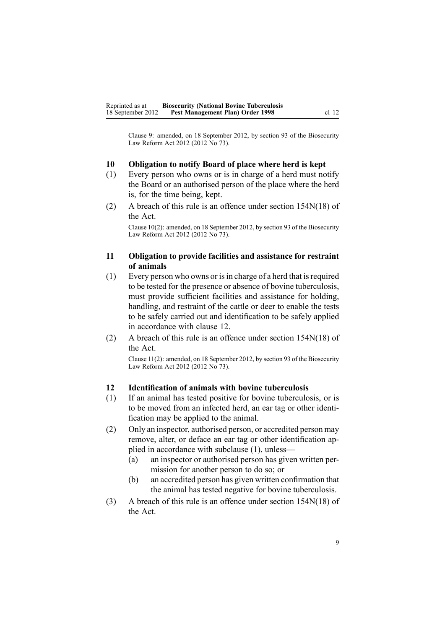<span id="page-8-0"></span>Clause 9: amended, on 18 September 2012, by [section](http://www.legislation.govt.nz/pdflink.aspx?id=DLM3388552) 93 of the Biosecurity Law Reform Act 2012 (2012 No 73).

### **10 Obligation to notify Board of place where herd is kept**

- (1) Every person who owns or is in charge of <sup>a</sup> herd must notify the Board or an authorised person of the place where the herd is, for the time being, kept.
- (2) A breach of this rule is an offence under section [154N\(18\)](http://www.legislation.govt.nz/pdflink.aspx?id=DLM4759461) of the Act.

Clause 10(2): amended, on 18 September 2012, by [section](http://www.legislation.govt.nz/pdflink.aspx?id=DLM3388552) 93 of the Biosecurity Law Reform Act 2012 (2012 No 73).

### **11 Obligation to provide facilities and assistance for restraint of animals**

- $(1)$  Every person who owns or is in charge of a herd that is required to be tested for the presence or absence of bovine tuberculosis, must provide sufficient facilities and assistance for holding, handling, and restraint of the cattle or deer to enable the tests to be safely carried out and identification to be safely applied in accordance with clause 12.
- (2) A breach of this rule is an offence under section [154N\(18\)](http://www.legislation.govt.nz/pdflink.aspx?id=DLM4759461) of the Act.

Clause 11(2): amended, on 18 September 2012, by [section](http://www.legislation.govt.nz/pdflink.aspx?id=DLM3388552) 93 of the Biosecurity Law Reform Act 2012 (2012 No 73).

### **12 Identification of animals with bovine tuberculosis**

- (1) If an animal has tested positive for bovine tuberculosis, or is to be moved from an infected herd, an ear tag or other identification may be applied to the animal.
- (2) Only an inspector, authorised person, or accredited person may remove, alter, or deface an ear tag or other identification applied in accordance with subclause (1), unless—
	- (a) an inspector or authorised person has given written permission for another person to do so; or
	- (b) an accredited person has given written confirmation that the animal has tested negative for bovine tuberculosis.
- (3) A breach of this rule is an offence under section [154N\(18\)](http://www.legislation.govt.nz/pdflink.aspx?id=DLM4759461) of the Act.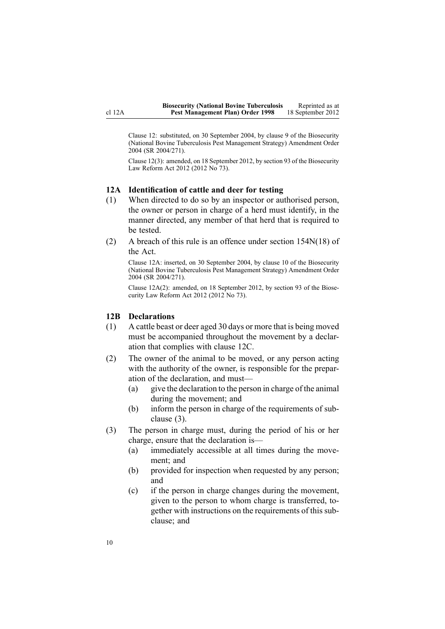<span id="page-9-0"></span>Clause 12: substituted, on 30 September 2004, by [clause](http://www.legislation.govt.nz/pdflink.aspx?id=DLM283081) 9 of the Biosecurity (National Bovine Tuberculosis Pest Management Strategy) Amendment Order 2004 (SR 2004/271).

Clause 12(3): amended, on 18 September 2012, by [section](http://www.legislation.govt.nz/pdflink.aspx?id=DLM3388552) 93 of the Biosecurity Law Reform Act 2012 (2012 No 73).

#### **12A Identification of cattle and deer for testing**

- (1) When directed to do so by an inspector or authorised person, the owner or person in charge of <sup>a</sup> herd must identify, in the manner directed, any member of that herd that is required to be tested.
- (2) A breach of this rule is an offence under section [154N\(18\)](http://www.legislation.govt.nz/pdflink.aspx?id=DLM4759461) of the Act.

Clause 12A: inserted, on 30 September 2004, by [clause](http://www.legislation.govt.nz/pdflink.aspx?id=DLM283083) 10 of the Biosecurity (National Bovine Tuberculosis Pest Management Strategy) Amendment Order 2004 (SR 2004/271).

Clause 12A(2): amended, on 18 September 2012, by [section](http://www.legislation.govt.nz/pdflink.aspx?id=DLM3388552) 93 of the Biosecurity Law Reform Act 2012 (2012 No 73).

#### **12B Declarations**

- (1) A cattle beast or deer aged 30 days or more that is being moved must be accompanied throughout the movement by <sup>a</sup> declaration that complies with [clause](#page-10-0) 12C.
- (2) The owner of the animal to be moved, or any person acting with the authority of the owner, is responsible for the preparation of the declaration, and must—
	- (a) give the declaration to the person in charge of the animal during the movement; and
	- (b) inform the person in charge of the requirements of subclause (3).
- (3) The person in charge must, during the period of his or her charge, ensure that the declaration is—
	- (a) immediately accessible at all times during the movement; and
	- (b) provided for inspection when requested by any person; and
	- (c) if the person in charge changes during the movement, given to the person to whom charge is transferred, together with instructions on the requirements of this subclause; and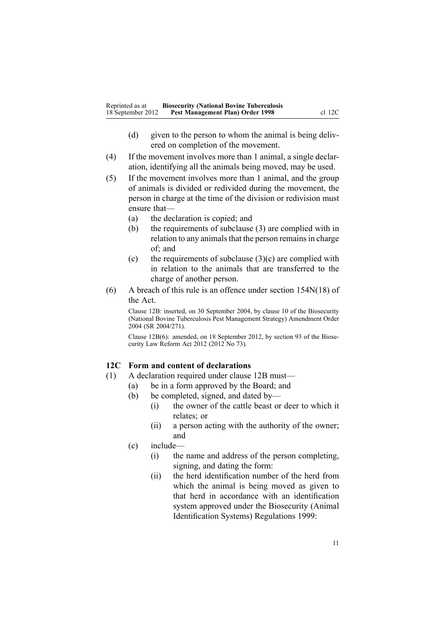- <span id="page-10-0"></span>(d) given to the person to whom the animal is being delivered on completion of the movement.
- (4) If the movement involves more than 1 animal, <sup>a</sup> single declaration, identifying all the animals being moved, may be used.
- (5) If the movement involves more than 1 animal, and the group of animals is divided or redivided during the movement, the person in charge at the time of the division or redivision must ensure that—
	- (a) the declaration is copied; and
	- (b) the requirements of subclause (3) are complied with in relation to any animals that the person remains in charge of; and
	- (c) the requirements of subclause  $(3)(c)$  are complied with in relation to the animals that are transferred to the charge of another person.
- (6) A breach of this rule is an offence under section [154N\(18\)](http://www.legislation.govt.nz/pdflink.aspx?id=DLM4759461) of the Act.

Clause 12B: inserted, on 30 September 2004, by [clause](http://www.legislation.govt.nz/pdflink.aspx?id=DLM283083) 10 of the Biosecurity (National Bovine Tuberculosis Pest Management Strategy) Amendment Order 2004 (SR 2004/271).

Clause 12B(6): amended, on 18 September 2012, by [section](http://www.legislation.govt.nz/pdflink.aspx?id=DLM3388552) 93 of the Biosecurity Law Reform Act 2012 (2012 No 73).

### **12C Form and content of declarations**

- (1) A declaration required under [clause](#page-9-0) 12B must—
	- (a) be in <sup>a</sup> form approved by the Board; and
	- (b) be completed, signed, and dated by—
		- (i) the owner of the cattle beast or deer to which it relates; or
		- (ii) <sup>a</sup> person acting with the authority of the owner; and
	- (c) include—
		- (i) the name and address of the person completing, signing, and dating the form:
		- (ii) the herd identification number of the herd from which the animal is being moved as given to that herd in accordance with an identification system approved under the [Biosecurity](http://www.legislation.govt.nz/pdflink.aspx?id=DLM284288) (Animal Identification Systems) [Regulations](http://www.legislation.govt.nz/pdflink.aspx?id=DLM284288) 1999: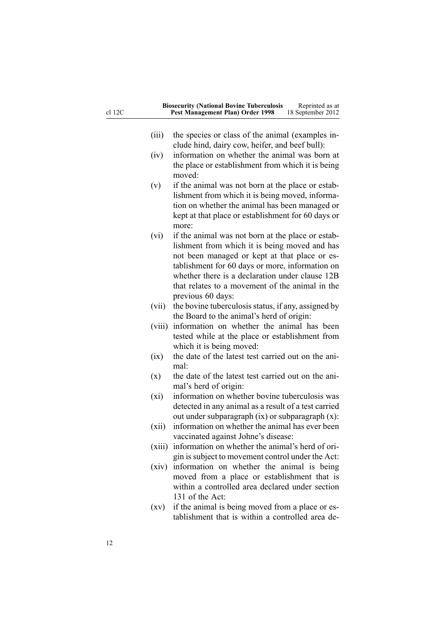| cl 12C | <b>Biosecurity (National Bovine Tuberculosis</b><br>Reprinted as at<br>Pest Management Plan) Order 1998<br>18 September 2012 |  |
|--------|------------------------------------------------------------------------------------------------------------------------------|--|
|        |                                                                                                                              |  |
| (iii)  | the species or class of the animal (examples in-<br>clude hind, dairy cow, heifer, and beef bull):                           |  |
|        | information on whether the animal was born at                                                                                |  |
| (iv)   |                                                                                                                              |  |
|        | the place or establishment from which it is being<br>moved:                                                                  |  |
| (v)    | if the animal was not born at the place or estab-                                                                            |  |
|        | lishment from which it is being moved, informa-                                                                              |  |
|        | tion on whether the animal has been managed or                                                                               |  |
|        | kept at that place or establishment for 60 days or                                                                           |  |
|        | more:                                                                                                                        |  |
| (vi)   | if the animal was not born at the place or estab-                                                                            |  |
|        | lishment from which it is being moved and has                                                                                |  |
|        | not been managed or kept at that place or es-                                                                                |  |
|        | tablishment for 60 days or more, information on<br>whether there is a declaration under clause 12B                           |  |
|        | that relates to a movement of the animal in the                                                                              |  |
|        | previous 60 days:                                                                                                            |  |
| (vii)  | the bovine tuberculosis status, if any, assigned by                                                                          |  |
|        | the Board to the animal's herd of origin:                                                                                    |  |
|        | information on whether the animal has been<br>(viii)                                                                         |  |
|        | tested while at the place or establishment from                                                                              |  |
|        | which it is being moved:                                                                                                     |  |
|        | the date of the latest test carried out on the ani-<br>(ix)                                                                  |  |
|        | mal:                                                                                                                         |  |
| (x)    | the date of the latest test carried out on the ani-                                                                          |  |
|        | mal's herd of origin:                                                                                                        |  |
| (xi)   | information on whether bovine tuberculosis was                                                                               |  |
|        | detected in any animal as a result of a test carried                                                                         |  |
|        | out under subparagraph (ix) or subparagraph (x):                                                                             |  |
| (xii)  | information on whether the animal has ever been                                                                              |  |
|        | vaccinated against Johne's disease:                                                                                          |  |
|        | (xiii) information on whether the animal's herd of ori-                                                                      |  |
|        | gin is subject to movement control under the Act:                                                                            |  |
|        | (xiv) information on whether the animal is being                                                                             |  |
|        | moved from a place or establishment that is                                                                                  |  |
|        | within a controlled area declared under section                                                                              |  |
|        | 131 of the Act:                                                                                                              |  |
| (xv)   | if the animal is being moved from a place or es-                                                                             |  |
|        | tablishment that is within a controlled area de-                                                                             |  |
|        |                                                                                                                              |  |
|        |                                                                                                                              |  |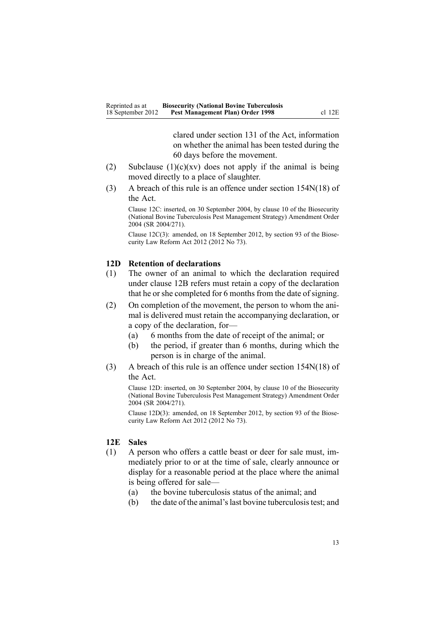clared under [section](http://www.legislation.govt.nz/pdflink.aspx?id=DLM316356) 131 of the Act, information on whether the animal has been tested during the 60 days before the movement.

- <span id="page-12-0"></span>(2) Subclause  $(1)(c)(xv)$  does not apply if the animal is being moved directly to <sup>a</sup> place of slaughter.
- (3) A breach of this rule is an offence under section [154N\(18\)](http://www.legislation.govt.nz/pdflink.aspx?id=DLM4759461) of the Act.

Clause 12C: inserted, on 30 September 2004, by [clause](http://www.legislation.govt.nz/pdflink.aspx?id=DLM283083) 10 of the Biosecurity (National Bovine Tuberculosis Pest Management Strategy) Amendment Order 2004 (SR 2004/271).

Clause 12C(3): amended, on 18 September 2012, by [section](http://www.legislation.govt.nz/pdflink.aspx?id=DLM3388552) 93 of the Biosecurity Law Reform Act 2012 (2012 No 73).

#### **12D Retention of declarations**

- (1) The owner of an animal to which the declaration required under [clause](#page-9-0) 12B refers must retain <sup>a</sup> copy of the declaration that he or she completed for 6 months from the date of signing.
- (2) On completion of the movement, the person to whom the animal is delivered must retain the accompanying declaration, or <sup>a</sup> copy of the declaration, for—
	- (a) 6 months from the date of receipt of the animal; or
	- (b) the period, if greater than 6 months, during which the person is in charge of the animal.
- (3) A breach of this rule is an offence under section [154N\(18\)](http://www.legislation.govt.nz/pdflink.aspx?id=DLM4759461) of the Act.

Clause 12D: inserted, on 30 September 2004, by [clause](http://www.legislation.govt.nz/pdflink.aspx?id=DLM283083) 10 of the Biosecurity (National Bovine Tuberculosis Pest Management Strategy) Amendment Order 2004 (SR 2004/271).

Clause 12D(3): amended, on 18 September 2012, by [section](http://www.legislation.govt.nz/pdflink.aspx?id=DLM3388552) 93 of the Biosecurity Law Reform Act 2012 (2012 No 73).

### **12E Sales**

- (1) A person who offers <sup>a</sup> cattle beast or deer for sale must, immediately prior to or at the time of sale, clearly announce or display for <sup>a</sup> reasonable period at the place where the animal is being offered for sale—
	- (a) the bovine tuberculosis status of the animal; and
	- (b) the date of the animal'slast bovine tuberculosistest; and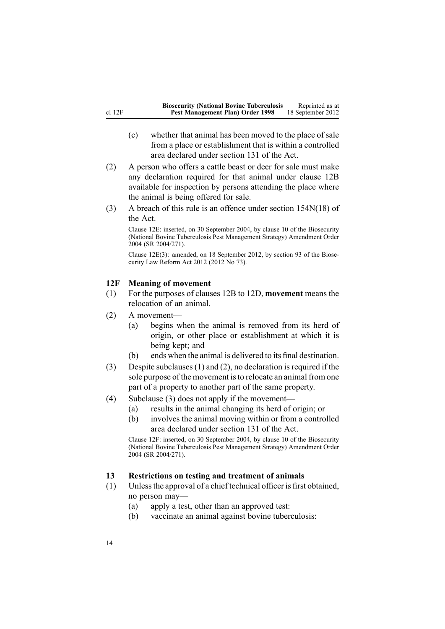- <span id="page-13-0"></span>(c) whether that animal has been moved to the place of sale from <sup>a</sup> place or establishment that is within <sup>a</sup> controlled area declared under [section](http://www.legislation.govt.nz/pdflink.aspx?id=DLM316356) 131 of the Act.
- (2) A person who offers <sup>a</sup> cattle beast or deer for sale must make any declaration required for that animal under [clause](#page-9-0) 12B available for inspection by persons attending the place where the animal is being offered for sale.
- (3) A breach of this rule is an offence under section [154N\(18\)](http://www.legislation.govt.nz/pdflink.aspx?id=DLM4759461) of the Act.

Clause 12E: inserted, on 30 September 2004, by [clause](http://www.legislation.govt.nz/pdflink.aspx?id=DLM283083) 10 of the Biosecurity (National Bovine Tuberculosis Pest Management Strategy) Amendment Order 2004 (SR 2004/271).

Clause 12E(3): amended, on 18 September 2012, by [section](http://www.legislation.govt.nz/pdflink.aspx?id=DLM3388552) 93 of the Biosecurity Law Reform Act 2012 (2012 No 73).

### **12F Meaning of movement**

- (1) For the purposes of [clauses](#page-9-0) 12B to 12D, **movement** means the relocation of an animal.
- (2) A movement—
	- (a) begins when the animal is removed from its herd of origin, or other place or establishment at which it is being kept; and
	- (b) ends when the animal is delivered to its final destination.
- (3) Despite subclauses (1) and (2), no declaration is required if the sole purpose of the movement is to relocate an animal from one par<sup>t</sup> of <sup>a</sup> property to another par<sup>t</sup> of the same property.
- (4) Subclause (3) does not apply if the movement—
	- (a) results in the animal changing its herd of origin; or
	- (b) involves the animal moving within or from <sup>a</sup> controlled area declared under [section](http://www.legislation.govt.nz/pdflink.aspx?id=DLM316356) 131 of the Act.

Clause 12F: inserted, on 30 September 2004, by [clause](http://www.legislation.govt.nz/pdflink.aspx?id=DLM283083) 10 of the Biosecurity (National Bovine Tuberculosis Pest Management Strategy) Amendment Order 2004 (SR 2004/271).

#### **13 Restrictions on testing and treatment of animals**

- (1) Unlessthe approval of <sup>a</sup> chief technical officer is first obtained, no person may—
	- (a) apply <sup>a</sup> test, other than an approved test:
	- (b) vaccinate an animal against bovine tuberculosis: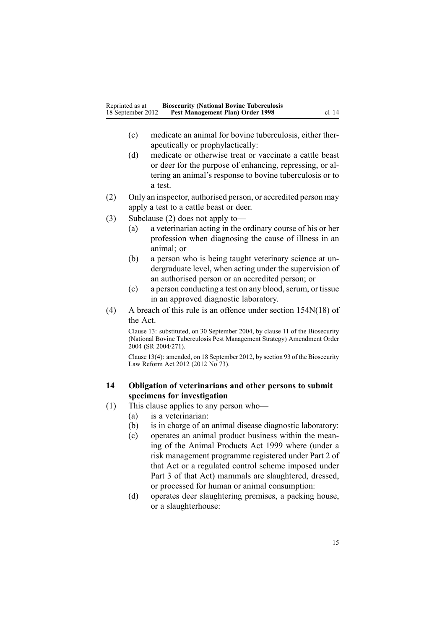- <span id="page-14-0"></span>(c) medicate an animal for bovine tuberculosis, either therapeutically or prophylactically:
- (d) medicate or otherwise treat or vaccinate <sup>a</sup> cattle beast or deer for the purpose of enhancing, repressing, or altering an animal's response to bovine tuberculosis or to a test.
- (2) Only an inspector, authorised person, or accredited person may apply <sup>a</sup> test to <sup>a</sup> cattle beast or deer.
- (3) Subclause (2) does not apply to—
	- (a) <sup>a</sup> veterinarian acting in the ordinary course of his or her profession when diagnosing the cause of illness in an animal; or
	- (b) <sup>a</sup> person who is being taught veterinary science at undergraduate level, when acting under the supervision of an authorised person or an accredited person; or
	- (c) a person conducting a test on any blood, serum, or tissue in an approved diagnostic laboratory.
- (4) A breach of this rule is an offence under section [154N\(18\)](http://www.legislation.govt.nz/pdflink.aspx?id=DLM4759461) of the Act.

Clause 13: substituted, on 30 September 2004, by [clause](http://www.legislation.govt.nz/pdflink.aspx?id=DLM283091) 11 of the Biosecurity (National Bovine Tuberculosis Pest Management Strategy) Amendment Order 2004 (SR 2004/271).

Clause 13(4): amended, on 18 September 2012, by [section](http://www.legislation.govt.nz/pdflink.aspx?id=DLM3388552) 93 of the Biosecurity Law Reform Act 2012 (2012 No 73).

### **14 Obligation of veterinarians and other persons to submit specimens for investigation**

- (1) This clause applies to any person who—
	- (a) is <sup>a</sup> veterinarian:
	- (b) is in charge of an animal disease diagnostic laboratory:
	- (c) operates an animal product business within the meaning of the Animal [Products](http://www.legislation.govt.nz/pdflink.aspx?id=DLM33501) Act 1999 where (under <sup>a</sup> risk managemen<sup>t</sup> programme registered under [Part](http://www.legislation.govt.nz/pdflink.aspx?id=DLM34308) 2 of that Act or <sup>a</sup> regulated control scheme imposed under [Part](http://www.legislation.govt.nz/pdflink.aspx?id=DLM34388) 3 of that Act) mammals are slaughtered, dressed, or processed for human or animal consumption:
	- (d) operates deer slaughtering premises, <sup>a</sup> packing house, or <sup>a</sup> slaughterhouse: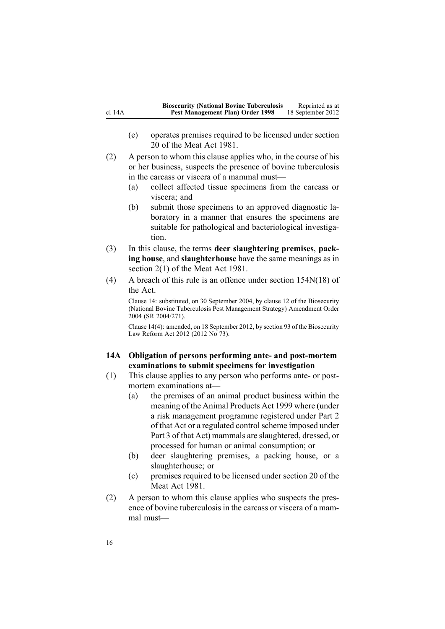- <span id="page-15-0"></span>(e) operates premises required to be licensed under section 20 of the Meat Act 1981.
- (2) A person to whom this clause applies who, in the course of his or her business, suspects the presence of bovine tuberculosis in the carcass or viscera of <sup>a</sup> mammal must—
	- (a) collect affected tissue specimens from the carcass or viscera; and
	- (b) submit those specimens to an approved diagnostic laboratory in <sup>a</sup> manner that ensures the specimens are suitable for pathological and bacteriological investigation.
- (3) In this clause, the terms **deer slaughtering premises**, **packing house**, and **slaughterhouse** have the same meanings as in section 2(1) of the Meat Act 1981.
- (4) A breach of this rule is an offence under section [154N\(18\)](http://www.legislation.govt.nz/pdflink.aspx?id=DLM4759461) of the Act.

Clause 14: substituted, on 30 September 2004, by [clause](http://www.legislation.govt.nz/pdflink.aspx?id=DLM283093) 12 of the Biosecurity (National Bovine Tuberculosis Pest Management Strategy) Amendment Order 2004 (SR 2004/271).

Clause 14(4): amended, on 18 September 2012, by [section](http://www.legislation.govt.nz/pdflink.aspx?id=DLM3388552) 93 of the Biosecurity Law Reform Act 2012 (2012 No 73).

### **14A Obligation of persons performing ante- and post-mortem examinations to submit specimens for investigation**

- (1) This clause applies to any person who performs ante- or postmortem examinations at—
	- (a) the premises of an animal product business within the meaning of the Animal [Products](http://www.legislation.govt.nz/pdflink.aspx?id=DLM33501) Act 1999 where (under <sup>a</sup> risk managemen<sup>t</sup> programme registered under [Part](http://www.legislation.govt.nz/pdflink.aspx?id=DLM34308) 2 of that Act or a regulated control scheme imposed under [Part](http://www.legislation.govt.nz/pdflink.aspx?id=DLM34388) 3 of that Act) mammals are slaughtered, dressed, or processed for human or animal consumption; or
	- (b) deer slaughtering premises, <sup>a</sup> packing house, or <sup>a</sup> slaughterhouse; or
	- (c) premises required to be licensed under section 20 of the Meat Act 1981.
- (2) A person to whom this clause applies who suspects the presence of bovine tuberculosis in the carcass or viscera of <sup>a</sup> mammal must—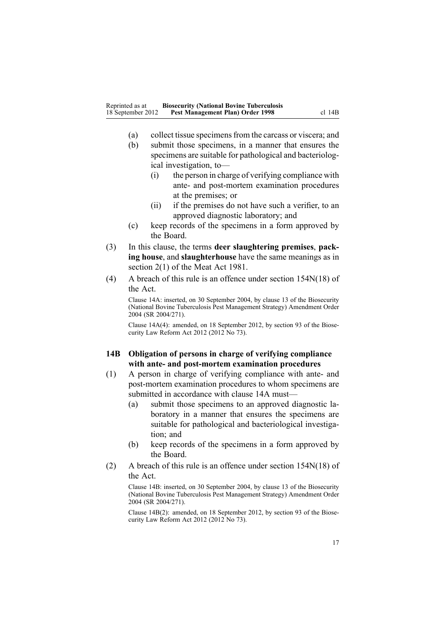- <span id="page-16-0"></span>(a) collect tissue specimensfrom the carcass or viscera; and
- (b) submit those specimens, in <sup>a</sup> manner that ensures the specimens are suitable for pathological and bacteriological investigation, to—
	- (i) the person in charge of verifying compliance with ante- and post-mortem examination procedures at the premises; or
	- (ii) if the premises do not have such <sup>a</sup> verifier, to an approved diagnostic laboratory; and
- (c) keep records of the specimens in <sup>a</sup> form approved by the Board.
- (3) In this clause, the terms **deer slaughtering premises**, **packing house**, and **slaughterhouse** have the same meanings as in section 2(1) of the Meat Act 1981.
- (4) A breach of this rule is an offence under section [154N\(18\)](http://www.legislation.govt.nz/pdflink.aspx?id=DLM4759461) of the Act.

Clause 14A: inserted, on 30 September 2004, by [clause](http://www.legislation.govt.nz/pdflink.aspx?id=DLM283098) 13 of the Biosecurity (National Bovine Tuberculosis Pest Management Strategy) Amendment Order 2004 (SR 2004/271).

Clause 14A(4): amended, on 18 September 2012, by [section](http://www.legislation.govt.nz/pdflink.aspx?id=DLM3388552) 93 of the Biosecurity Law Reform Act 2012 (2012 No 73).

### **14B Obligation of persons in charge of verifying compliance with ante- and post-mortem examination procedures**

- (1) A person in charge of verifying compliance with ante- and post-mortem examination procedures to whom specimens are submitted in accordance with [clause](#page-15-0) 14A must—
	- (a) submit those specimens to an approved diagnostic laboratory in <sup>a</sup> manner that ensures the specimens are suitable for pathological and bacteriological investigation; and
	- (b) keep records of the specimens in <sup>a</sup> form approved by the Board.
- (2) A breach of this rule is an offence under section [154N\(18\)](http://www.legislation.govt.nz/pdflink.aspx?id=DLM4759461) of the Act.

Clause 14B: inserted, on 30 September 2004, by [clause](http://www.legislation.govt.nz/pdflink.aspx?id=DLM283098) 13 of the Biosecurity (National Bovine Tuberculosis Pest Management Strategy) Amendment Order 2004 (SR 2004/271).

Clause 14B(2): amended, on 18 September 2012, by [section](http://www.legislation.govt.nz/pdflink.aspx?id=DLM3388552) 93 of the Biosecurity Law Reform Act 2012 (2012 No 73).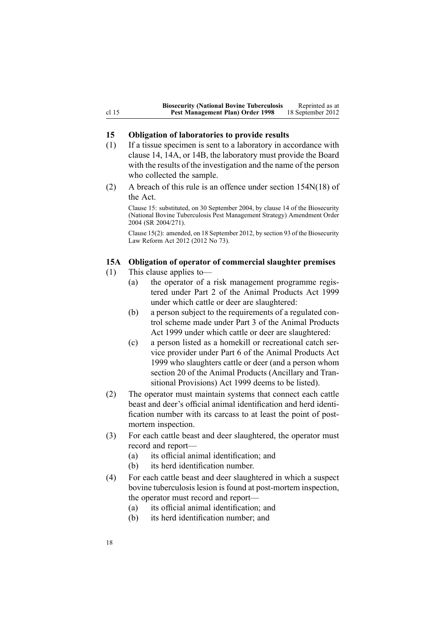### <span id="page-17-0"></span>**15 Obligation of laboratories to provide results**

- (1) If <sup>a</sup> tissue specimen is sent to <sup>a</sup> laboratory in accordance with [clause](#page-14-0) 14, [14A](#page-15-0), or [14B](#page-16-0), the laboratory must provide the Board with the results of the investigation and the name of the person who collected the sample.
- (2) A breach of this rule is an offence under section [154N\(18\)](http://www.legislation.govt.nz/pdflink.aspx?id=DLM4759461) of the Act.

Clause 15: substituted, on 30 September 2004, by [clause](http://www.legislation.govt.nz/pdflink.aspx?id=DLM283604) 14 of the Biosecurity (National Bovine Tuberculosis Pest Management Strategy) Amendment Order 2004 (SR 2004/271).

Clause 15(2): amended, on 18 September 2012, by [section](http://www.legislation.govt.nz/pdflink.aspx?id=DLM3388552) 93 of the Biosecurity Law Reform Act 2012 (2012 No 73).

### **15A Obligation of operator of commercial slaughter premises**

- (1) This clause applies to—
	- (a) the operator of <sup>a</sup> risk managemen<sup>t</sup> programme registered under [Part](http://www.legislation.govt.nz/pdflink.aspx?id=DLM34308) 2 of the Animal Products Act 1999 under which cattle or deer are slaughtered:
	- (b) <sup>a</sup> person subject to the requirements of <sup>a</sup> regulated control scheme made under [Part](http://www.legislation.govt.nz/pdflink.aspx?id=DLM34388) 3 of the Animal Products Act 1999 under which cattle or deer are slaughtered:
	- (c) <sup>a</sup> person listed as <sup>a</sup> homekill or recreational catch service provider under [Part](http://www.legislation.govt.nz/pdflink.aspx?id=DLM34877) 6 of the Animal Products Act 1999 who slaughters cattle or deer (and <sup>a</sup> person whom [section](http://www.legislation.govt.nz/pdflink.aspx?id=DLM37216) 20 of the Animal Products (Ancillary and Transitional Provisions) Act 1999 deems to be listed).
- (2) The operator must maintain systems that connect each cattle beast and deer's official animal identification and herd identification number with its carcass to at least the point of postmortem inspection.
- (3) For each cattle beast and deer slaughtered, the operator must record and report—
	- (a) its official animal identification; and
	- (b) its herd identification number.
- (4) For each cattle beast and deer slaughtered in which <sup>a</sup> suspec<sup>t</sup> bovine tuberculosis lesion is found at post-mortem inspection, the operator must record and report—
	- (a) its official animal identification; and
	- (b) its herd identification number; and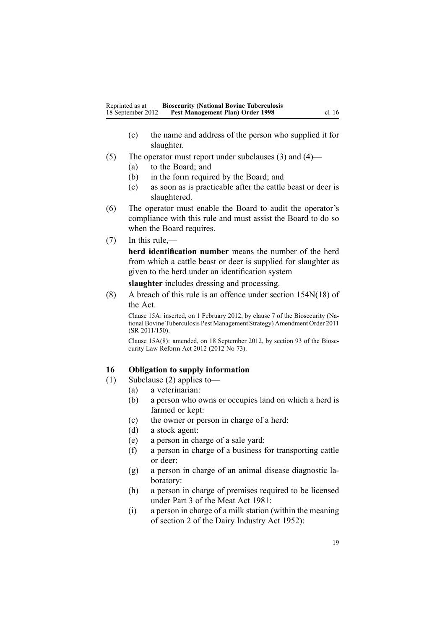- <span id="page-18-0"></span>(c) the name and address of the person who supplied it for slaughter.
- (5) The operator must repor<sup>t</sup> under subclauses (3) and (4)—
	- (a) to the Board; and
	- (b) in the form required by the Board; and
	- (c) as soon as is practicable after the cattle beast or deer is slaughtered.
- (6) The operator must enable the Board to audit the operator's compliance with this rule and must assist the Board to do so when the Board requires.
- (7) In this rule,—

**herd identification number** means the number of the herd from which <sup>a</sup> cattle beast or deer is supplied for slaughter as given to the herd under an identification system

**slaughter** includes dressing and processing.

(8) A breach of this rule is an offence under section [154N\(18\)](http://www.legislation.govt.nz/pdflink.aspx?id=DLM4759461) of the Act.

Clause 15A: inserted, on 1 February 2012, by [clause](http://www.legislation.govt.nz/pdflink.aspx?id=DLM3765101) 7 of the Biosecurity (National Bovine Tuberculosis Pest Management Strategy) Amendment Order 2011 (SR 2011/150).

Clause 15A(8): amended, on 18 September 2012, by [section](http://www.legislation.govt.nz/pdflink.aspx?id=DLM3388552) 93 of the Biosecurity Law Reform Act  $2012$  (2012 No 73).

### **16 Obligation to supply information**

- (1) Subclause (2) applies to—
	- (a) <sup>a</sup> veterinarian:
	- (b) <sup>a</sup> person who owns or occupies land on which <sup>a</sup> herd is farmed or kept:
	- (c) the owner or person in charge of <sup>a</sup> herd:
	- (d) <sup>a</sup> stock agent:
	- (e) <sup>a</sup> person in charge of <sup>a</sup> sale yard:
	- (f) <sup>a</sup> person in charge of <sup>a</sup> business for transporting cattle or deer:
	- (g) <sup>a</sup> person in charge of an animal disease diagnostic laboratory:
	- (h) <sup>a</sup> person in charge of premises required to be licensed under Part 3 of the Meat Act 1981:
	- (i) <sup>a</sup> person in charge of <sup>a</sup> milk station (within the meaning of section 2 of the Dairy Industry Act 1952):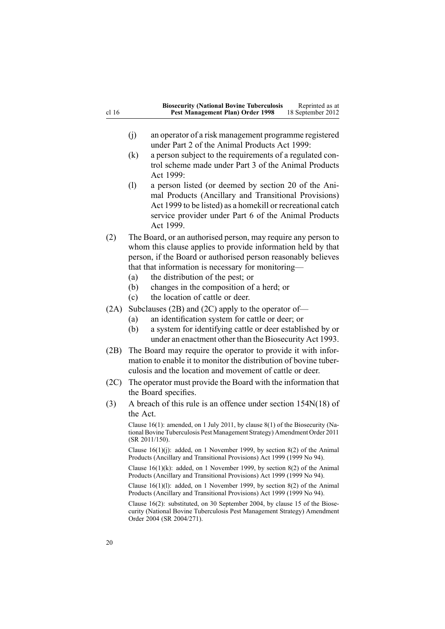| cl 16 | <b>Biosecurity (National Bovine Tuberculosis</b><br>Reprinted as at<br>Pest Management Plan) Order 1998<br>18 September 2012                                                                                                                                                                    |  |
|-------|-------------------------------------------------------------------------------------------------------------------------------------------------------------------------------------------------------------------------------------------------------------------------------------------------|--|
|       |                                                                                                                                                                                                                                                                                                 |  |
|       | (j)<br>an operator of a risk management programme registered<br>under Part 2 of the Animal Products Act 1999:                                                                                                                                                                                   |  |
|       | (k)<br>a person subject to the requirements of a regulated con-<br>trol scheme made under Part 3 of the Animal Products<br>Act 1999:                                                                                                                                                            |  |
|       | (1)<br>a person listed (or deemed by section 20 of the Ani-<br>mal Products (Ancillary and Transitional Provisions)<br>Act 1999 to be listed) as a homekill or recreational catch<br>service provider under Part 6 of the Animal Products<br>Act 1999.                                          |  |
| (2)   | The Board, or an authorised person, may require any person to<br>whom this clause applies to provide information held by that<br>person, if the Board or authorised person reasonably believes<br>that that information is necessary for monitoring-<br>the distribution of the pest; or<br>(a) |  |
|       | changes in the composition of a herd; or<br>(b)<br>the location of cattle or deer.<br>(c)                                                                                                                                                                                                       |  |
| (2A)  | Subclauses $(2B)$ and $(2C)$ apply to the operator of-<br>an identification system for cattle or deer; or<br>(a)<br>(b)<br>a system for identifying cattle or deer established by or<br>under an enactment other than the Biosecurity Act 1993.                                                 |  |
| (2B)  | The Board may require the operator to provide it with infor-<br>mation to enable it to monitor the distribution of bovine tuber-<br>culosis and the location and movement of cattle or deer.                                                                                                    |  |
| (2C)  | The operator must provide the Board with the information that<br>the Board specifies.                                                                                                                                                                                                           |  |
| (3)   | A breach of this rule is an offence under section $154N(18)$ of                                                                                                                                                                                                                                 |  |
|       | the Act.                                                                                                                                                                                                                                                                                        |  |
|       | Clause 16(1): amended, on 1 July 2011, by clause 8(1) of the Biosecurity (Na-<br>tional Bovine Tuberculosis Pest Management Strategy) Amendment Order 2011<br>$(SR 2011/150)$ .                                                                                                                 |  |
|       | Clause $16(1)(j)$ : added, on 1 November 1999, by section 8(2) of the Animal<br>Products (Ancillary and Transitional Provisions) Act 1999 (1999 No 94).                                                                                                                                         |  |

Clause 16(1)(k): added, on 1 November 1999, by [section](http://www.legislation.govt.nz/pdflink.aspx?id=DLM36187) 8(2) of the Animal Products (Ancillary and Transitional Provisions) Act 1999 (1999 No 94).

Clause 16(1)(l): added, on 1 November 1999, by [section](http://www.legislation.govt.nz/pdflink.aspx?id=DLM36187) 8(2) of the Animal Products (Ancillary and Transitional Provisions) Act 1999 (1999 No 94).

Clause 16(2): substituted, on 30 September 2004, by [clause](http://www.legislation.govt.nz/pdflink.aspx?id=DLM283606) 15 of the Biosecurity (National Bovine Tuberculosis Pest Management Strategy) Amendment Order 2004 (SR 2004/271).

20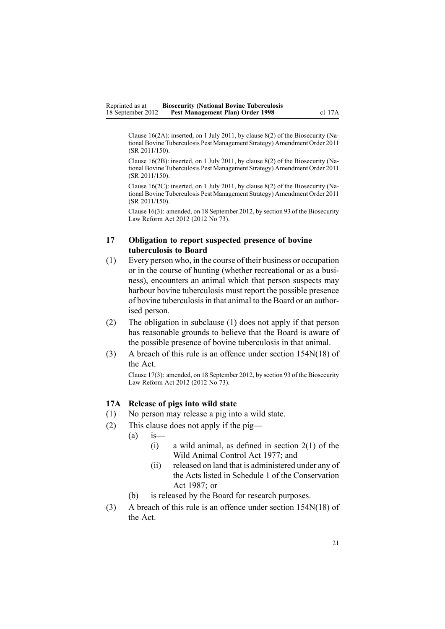<span id="page-20-0"></span>Clause 16(2A): inserted, on 1 July 2011, by [clause](http://www.legislation.govt.nz/pdflink.aspx?id=DLM3765133) 8(2) of the Biosecurity (National Bovine Tuberculosis Pest Management Strategy) Amendment Order 2011 (SR 2011/150).

Clause 16(2B): inserted, on 1 July 2011, by [clause](http://www.legislation.govt.nz/pdflink.aspx?id=DLM3765133) 8(2) of the Biosecurity (National Bovine Tuberculosis Pest Management Strategy) Amendment Order 2011 (SR 2011/150).

Clause 16(2C): inserted, on 1 July 2011, by [clause](http://www.legislation.govt.nz/pdflink.aspx?id=DLM3765133) 8(2) of the Biosecurity (National Bovine Tuberculosis Pest Management Strategy) Amendment Order 2011 (SR 2011/150).

Clause 16(3): amended, on 18 September 2012, by [section](http://www.legislation.govt.nz/pdflink.aspx?id=DLM3388552) 93 of the Biosecurity Law Reform Act 2012 (2012 No 73).

### **17 Obligation to report suspected presence of bovine tuberculosis to Board**

- (1) Every person who, in the course of their business or occupation or in the course of hunting (whether recreational or as <sup>a</sup> business), encounters an animal which that person suspects may harbour bovine tuberculosis must repor<sup>t</sup> the possible presence of bovine tuberculosisin that animal to the Board or an authorised person.
- (2) The obligation in subclause (1) does not apply if that person has reasonable grounds to believe that the Board is aware of the possible presence of bovine tuberculosis in that animal.
- (3) A breach of this rule is an offence under section [154N\(18\)](http://www.legislation.govt.nz/pdflink.aspx?id=DLM4759461) of the Act.

Clause 17(3): amended, on 18 September 2012, by [section](http://www.legislation.govt.nz/pdflink.aspx?id=DLM3388552) 93 of the Biosecurity Law Reform Act 2012 (2012 No 73).

### **17A Release of pigs into wild state**

- (1) No person may release <sup>a</sup> pig into <sup>a</sup> wild state.
- (2) This clause does not apply if the pig—
	- $(a)$  is-
		- $(i)$  a wild animal, as defined in [section](http://www.legislation.govt.nz/pdflink.aspx?id=DLM16628) 2(1) of the Wild Animal Control Act 1977; and
		- (ii) released on land that is administered under any of the Acts listed in [Schedule](http://www.legislation.govt.nz/pdflink.aspx?id=DLM107200) 1 of the Conservation Act 1987; or
	- (b) is released by the Board for research purposes.
- (3) A breach of this rule is an offence under section [154N\(18\)](http://www.legislation.govt.nz/pdflink.aspx?id=DLM4759461) of the Act.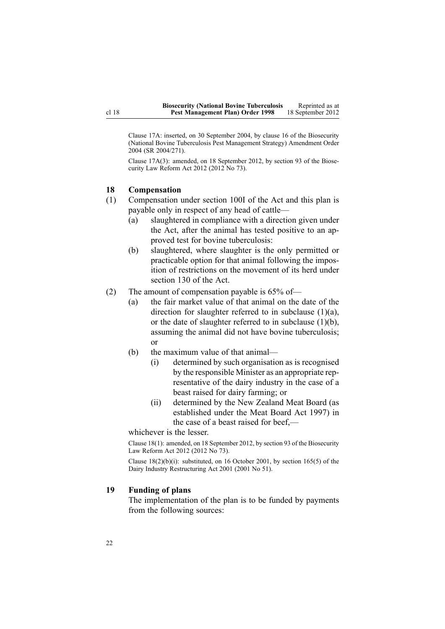<span id="page-21-0"></span>Clause 17A: inserted, on 30 September 2004, by [clause](http://www.legislation.govt.nz/pdflink.aspx?id=DLM283607) 16 of the Biosecurity (National Bovine Tuberculosis Pest Management Strategy) Amendment Order 2004 (SR 2004/271).

Clause 17A(3): amended, on 18 September 2012, by [section](http://www.legislation.govt.nz/pdflink.aspx?id=DLM3388552) 93 of the Biosecurity Law Reform Act 2012 (2012 No 73).

#### **18 Compensation**

- (1) Compensation under [section](http://www.legislation.govt.nz/pdflink.aspx?id=DLM4758108) 100I of the Act and this plan is payable only in respec<sup>t</sup> of any head of cattle—
	- (a) slaughtered in compliance with <sup>a</sup> direction given under the Act, after the animal has tested positive to an approved test for bovine tuberculosis:
	- (b) slaughtered, where slaughter is the only permitted or practicable option for that animal following the imposition of restrictions on the movement of its herd under [section](http://www.legislation.govt.nz/pdflink.aspx?id=DLM316351) 130 of the Act.
- (2) The amount of compensation payable is 65% of—
	- (a) the fair market value of that animal on the date of the direction for slaughter referred to in subclause (1)(a), or the date of slaughter referred to in subclause  $(1)(b)$ , assuming the animal did not have bovine tuberculosis; or
	- (b) the maximum value of that animal—
		- (i) determined by such organisation as is recognised by the responsible Minister as an appropriate representative of the dairy industry in the case of <sup>a</sup> beast raised for dairy farming; or
		- (ii) determined by the New Zealand Meat Board (as established under the Meat Board Act 1997) in the case of <sup>a</sup> beast raised for beef,—

whichever is the lesser.

Clause 18(1): amended, on 18 September 2012, by [section](http://www.legislation.govt.nz/pdflink.aspx?id=DLM3388552) 93 of the Biosecurity Law Reform Act 2012 (2012 No 73).

Clause  $18(2)(b)(i)$ : substituted, on 16 October 2001, by section [165\(5\)](http://www.legislation.govt.nz/pdflink.aspx?id=DLM110110) of the Dairy Industry Restructuring Act 2001 (2001 No 51).

### **19 Funding of plans**

The implementation of the plan is to be funded by payments from the following sources: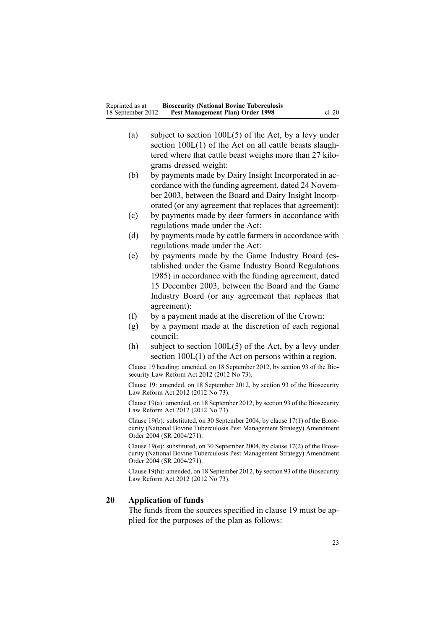- <span id="page-22-0"></span>(a) subject to section [100L\(5\)](http://www.legislation.govt.nz/pdflink.aspx?id=DLM4758114) of the Act, by <sup>a</sup> levy under section  $100L(1)$  of the Act on all cattle beasts slaughtered where that cattle beast weighs more than 27 kilograms dressed weight:
- (b) by payments made by Dairy Insight Incorporated in accordance with the funding agreement, dated 24 November 2003, between the Board and Dairy Insight Incorporated (or any agreemen<sup>t</sup> that replaces that agreement):
- (c) by payments made by deer farmers in accordance with regulations made under the Act:
- (d) by payments made by cattle farmers in accordance with regulations made under the Act:
- (e) by payments made by the Game Industry Board (established under the Game Industry Board Regulations 1985) in accordance with the funding agreement, dated 15 December 2003, between the Board and the Game Industry Board (or any agreemen<sup>t</sup> that replaces that agreement):
- (f) by <sup>a</sup> paymen<sup>t</sup> made at the discretion of the Crown:
- (g) by <sup>a</sup> paymen<sup>t</sup> made at the discretion of each regional council:
- (h) subject to section [100L\(5\)](http://www.legislation.govt.nz/pdflink.aspx?id=DLM4758114) of the Act, by <sup>a</sup> levy under section [100L\(1\)](http://www.legislation.govt.nz/pdflink.aspx?id=DLM4758114) of the Act on persons within <sup>a</sup> region.

Clause 19 heading: amended, on 18 September 2012, by [section](http://www.legislation.govt.nz/pdflink.aspx?id=DLM3388552) 93 of the Biosecurity Law Reform Act 2012 (2012 No 73).

Clause 19: amended, on 18 September 2012, by [section](http://www.legislation.govt.nz/pdflink.aspx?id=DLM3388552) 93 of the Biosecurity Law Reform Act 2012 (2012 No 73).

Clause 19(a): amended, on 18 September 2012, by [section](http://www.legislation.govt.nz/pdflink.aspx?id=DLM3388552) 93 of the Biosecurity Law Reform Act 2012 (2012 No 73).

Clause 19(b): substituted, on 30 September 2004, by clause [17\(1\)](http://www.legislation.govt.nz/pdflink.aspx?id=DLM283609) of the Biosecurity (National Bovine Tuberculosis Pest Management Strategy) Amendment Order 2004 (SR 2004/271).

Clause 19(e): substituted, on 30 September 2004, by clause [17\(2\)](http://www.legislation.govt.nz/pdflink.aspx?id=DLM283609) of the Biosecurity (National Bovine Tuberculosis Pest Management Strategy) Amendment Order 2004 (SR 2004/271).

Clause 19(h): amended, on 18 September 2012, by [section](http://www.legislation.govt.nz/pdflink.aspx?id=DLM3388552) 93 of the Biosecurity Law Reform Act 2012 (2012 No 73).

#### **20 Application of funds**

The funds from the sources specified in [clause](#page-21-0) 19 must be applied for the purposes of the plan as follows: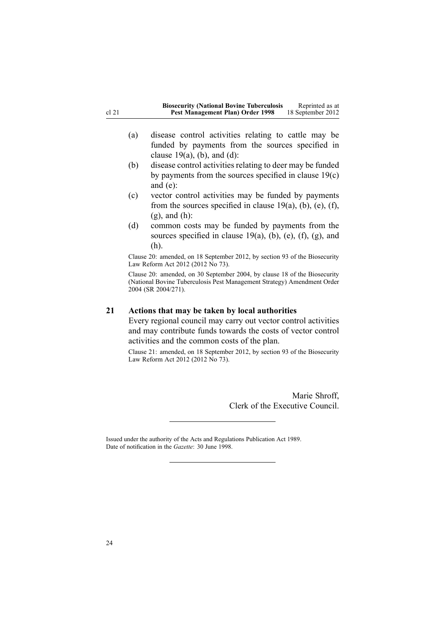<span id="page-23-0"></span>

| <b>Biosecurity (National Bovine Tuberculosis</b> | Reprinted as at   |
|--------------------------------------------------|-------------------|
| Pest Management Plan) Order 1998                 | 18 September 2012 |

- (a) disease control activities relating to cattle may be funded by payments from the sources specified in clause  $19(a)$ , (b), and (d):
- (b) disease control activities relating to deer may be funded by payments from the sources specified in clause [19\(c\)](#page-21-0) [and](#page-21-0) (e):
- (c) vector control activities may be funded by payments from the sources specified in clause  $19(a)$ , (b), (e), (f), [\(g\),](#page-21-0) and (h):
- (d) common costs may be funded by payments from the sources specified in clause  $19(a)$ , (b), (e), (f), (g), and [\(h\)](#page-21-0).

Clause 20: amended, on 18 September 2012, by [section](http://www.legislation.govt.nz/pdflink.aspx?id=DLM3388552) 93 of the Biosecurity Law Reform Act 2012 (2012 No 73).

Clause 20: amended, on 30 September 2004, by [clause](http://www.legislation.govt.nz/pdflink.aspx?id=DLM283610) 18 of the Biosecurity (National Bovine Tuberculosis Pest Management Strategy) Amendment Order 2004 (SR 2004/271).

### **21 Actions that may be taken by local authorities**

Every regional council may carry out vector control activities and may contribute funds towards the costs of vector control activities and the common costs of the plan.

Clause 21: amended, on 18 September 2012, by [section](http://www.legislation.govt.nz/pdflink.aspx?id=DLM3388552) 93 of the Biosecurity Law Reform Act 2012 (2012 No 73).

> Marie Shroff, Clerk of the Executive Council.

Issued under the authority of the Acts and [Regulations](http://www.legislation.govt.nz/pdflink.aspx?id=DLM195097) Publication Act 1989. Date of notification in the *Gazette*: 30 June 1998.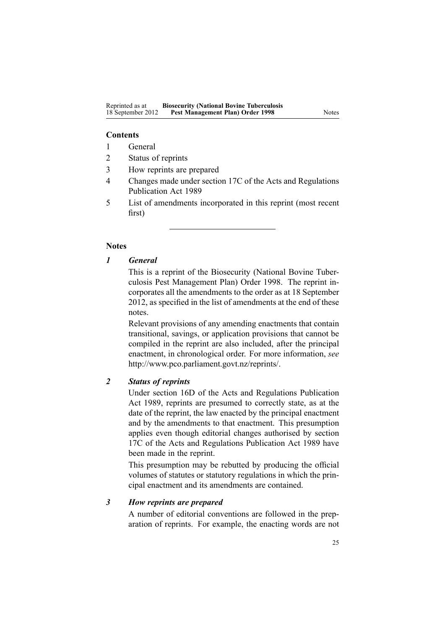### **Contents**

- 1 General
- 2 Status of reprints
- 3 How reprints are prepared
- 4 Changes made under section 17C of the Acts and Regulations Publication Act 1989
- 5 List of amendments incorporated in this reprint (most recent first)

### **Notes**

# *1 General*

This is <sup>a</sup> reprint of the Biosecurity (National Bovine Tuberculosis Pest Management Plan) Order 1998. The reprint incorporates all the amendments to the order as at 18 September 2012, as specified in the list of amendments at the end of these notes.

Relevant provisions of any amending enactments that contain transitional, savings, or application provisions that cannot be compiled in the reprint are also included, after the principal enactment, in chronological order. For more information, *see* <http://www.pco.parliament.govt.nz/reprints/>.

# *2 Status of reprints*

Under [section](http://www.legislation.govt.nz/pdflink.aspx?id=DLM195439) 16D of the Acts and Regulations Publication Act 1989, reprints are presumed to correctly state, as at the date of the reprint, the law enacted by the principal enactment and by the amendments to that enactment. This presumption applies even though editorial changes authorised by [section](http://www.legislation.govt.nz/pdflink.aspx?id=DLM195466) [17C](http://www.legislation.govt.nz/pdflink.aspx?id=DLM195466) of the Acts and Regulations Publication Act 1989 have been made in the reprint.

This presumption may be rebutted by producing the official volumes of statutes or statutory regulations in which the principal enactment and its amendments are contained.

# *3 How reprints are prepared*

A number of editorial conventions are followed in the preparation of reprints. For example, the enacting words are not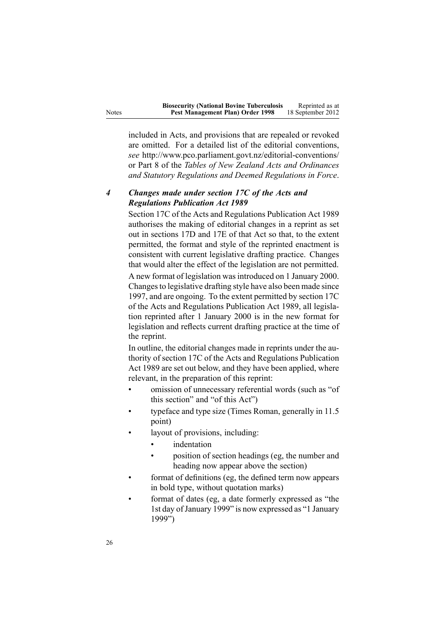included in Acts, and provisions that are repealed or revoked are omitted. For <sup>a</sup> detailed list of the editorial conventions, *see* <http://www.pco.parliament.govt.nz/editorial-conventions/> or Part 8 of the *Tables of New Zealand Acts and Ordinances and Statutory Regulations and Deemed Regulations in Force*.

# *4 Changes made under section 17C of the Acts and Regulations Publication Act 1989*

[Section](http://www.legislation.govt.nz/pdflink.aspx?id=DLM195466) 17C of the Acts and Regulations Publication Act 1989 authorises the making of editorial changes in <sup>a</sup> reprint as set out in [sections](http://www.legislation.govt.nz/pdflink.aspx?id=DLM195468) 17D and [17E](http://www.legislation.govt.nz/pdflink.aspx?id=DLM195470) of that Act so that, to the extent permitted, the format and style of the reprinted enactment is consistent with current legislative drafting practice. Changes that would alter the effect of the legislation are not permitted.

A new format of legislation wasintroduced on 1 January 2000. Changes to legislative drafting style have also been made since 1997, and are ongoing. To the extent permitted by [section](http://www.legislation.govt.nz/pdflink.aspx?id=DLM195466) 17C of the Acts and Regulations Publication Act 1989, all legislation reprinted after 1 January 2000 is in the new format for legislation and reflects current drafting practice at the time of the reprint.

In outline, the editorial changes made in reprints under the authority of [section](http://www.legislation.govt.nz/pdflink.aspx?id=DLM195466) 17C of the Acts and Regulations Publication Act 1989 are set out below, and they have been applied, where relevant, in the preparation of this reprint:

- • omission of unnecessary referential words (such as "of this section" and "of this Act")
- • typeface and type size (Times Roman, generally in 11.5 point)
- • layout of provisions, including:
	- •indentation
	- • position of section headings (eg, the number and heading now appear above the section)
- • format of definitions (eg, the defined term now appears in bold type, without quotation marks)
- • format of dates (eg, <sup>a</sup> date formerly expressed as "the 1st day of January 1999" is now expressed as "1 January 1999")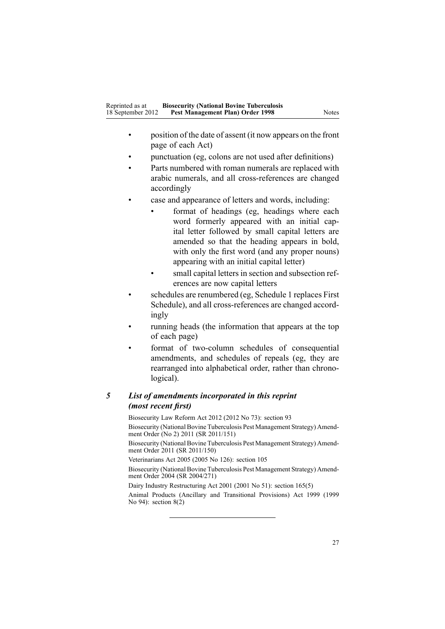- • position of the date of assent (it now appears on the front page of each Act)
- •punctuation (eg, colons are not used after definitions)
- • Parts numbered with roman numerals are replaced with arabic numerals, and all cross-references are changed accordingly
- • case and appearance of letters and words, including:
	- • format of headings (eg, headings where each word formerly appeared with an initial capital letter followed by small capital letters are amended so that the heading appears in bold, with only the first word (and any proper nouns) appearing with an initial capital letter)
	- • small capital letters in section and subsection references are now capital letters
- • schedules are renumbered (eg, Schedule 1 replaces First Schedule), and all cross-references are changed accordingly
- • running heads (the information that appears at the top of each page)
- • format of two-column schedules of consequential amendments, and schedules of repeals (eg, they are rearranged into alphabetical order, rather than chronological).

# *5 List of amendments incorporated in this reprint (most recent first)*

Biosecurity Law Reform Act 2012 (2012 No 73): [section](http://www.legislation.govt.nz/pdflink.aspx?id=DLM3388552) 93 Biosecurity (National Bovine Tuberculosis Pest [Management](http://www.legislation.govt.nz/pdflink.aspx?id=DLM3696900) Strategy) Amendment [Order](http://www.legislation.govt.nz/pdflink.aspx?id=DLM3696900) (No 2) 2011 (SR 2011/151) Biosecurity (National Bovine Tuberculosis Pest [Management](http://www.legislation.govt.nz/pdflink.aspx?id=DLM3765113) Strategy) Amendment [Order](http://www.legislation.govt.nz/pdflink.aspx?id=DLM3765113) 2011 (SR 2011/150) Veterinarians Act 2005 (2005 No 126): [section](http://www.legislation.govt.nz/pdflink.aspx?id=DLM364675) 105 Biosecurity (National Bovine Tuberculosis Pest [Management](http://www.legislation.govt.nz/pdflink.aspx?id=DLM283054) Strategy) Amendment [Order](http://www.legislation.govt.nz/pdflink.aspx?id=DLM283054) 2004 (SR 2004/271) Dairy Industry Restructuring Act 2001 (2001 No 51): section [165\(5\)](http://www.legislation.govt.nz/pdflink.aspx?id=DLM110110)

Animal Products (Ancillary and Transitional Provisions) Act 1999 (1999 No 94): [section](http://www.legislation.govt.nz/pdflink.aspx?id=DLM36187)  $8(2)$